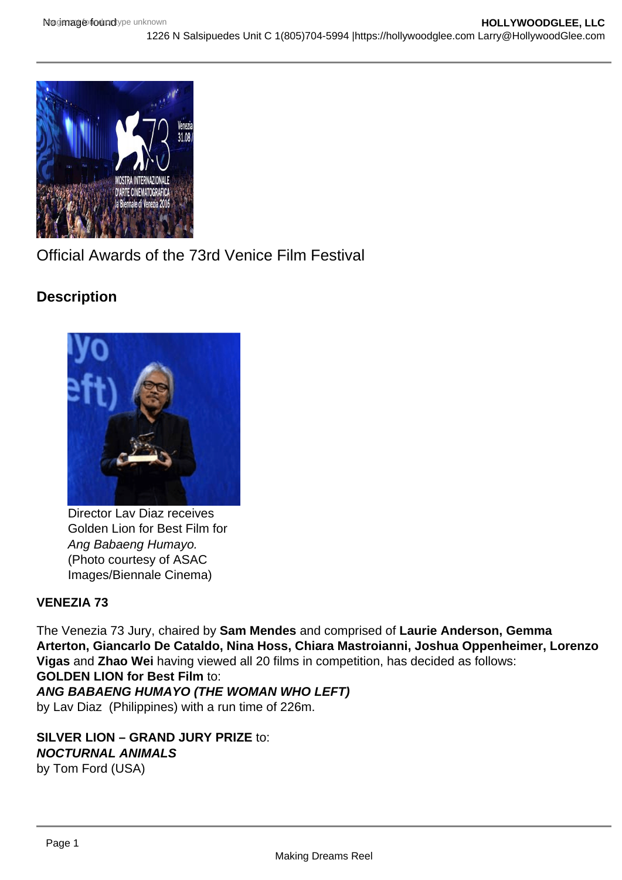

Official Awards of the 73rd Venice Film Festival

# **Description**



Director Lav Diaz receives Golden Lion for Best Film for Ang Babaeng Humayo. (Photo courtesy of ASAC Images/Biennale Cinema)

# **VENEZIA 73**

The Venezia 73 Jury, chaired by **Sam Mendes** and comprised of **Laurie Anderson, Gemma Arterton, Giancarlo De Cataldo, Nina Hoss, Chiara Mastroianni, Joshua Oppenheimer, Lorenzo Vigas** and **Zhao Wei** having viewed all 20 films in competition, has decided as follows: **GOLDEN LION for Best Film** to:

### **ANG BABAENG HUMAYO (THE WOMAN WHO LEFT)**

by Lav Diaz (Philippines) with a run time of 226m.

**SILVER LION – GRAND JURY PRIZE** to: **NOCTURNAL ANIMALS** by Tom Ford (USA)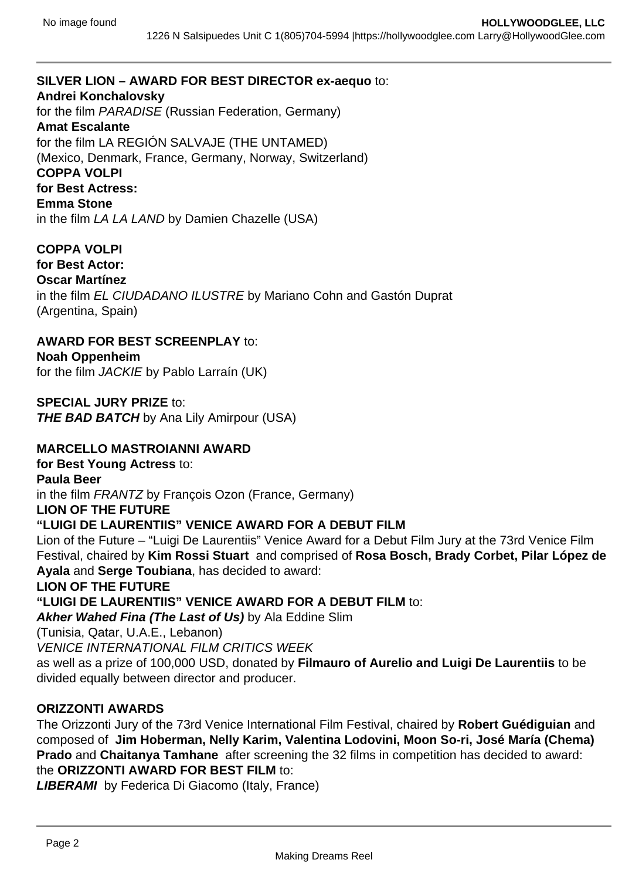### **SILVER LION – AWARD FOR BEST DIRECTOR ex-aequo** to:

#### **Andrei Konchalovsky**

for the film PARADISE (Russian Federation, Germany)

#### **Amat Escalante**

for the film LA REGIÓN SALVAJE (THE UNTAMED) (Mexico, Denmark, France, Germany, Norway, Switzerland) **COPPA VOLPI for Best Actress: Emma Stone**

in the film LA LA LAND by Damien Chazelle (USA)

#### **COPPA VOLPI**

**for Best Actor: Oscar Martínez** in the film EL CIUDADANO ILUSTRE by Mariano Cohn and Gastón Duprat (Argentina, Spain)

**AWARD FOR BEST SCREENPLAY** to: **Noah Oppenheim**

for the film JACKIE by Pablo Larraín (UK)

**SPECIAL JURY PRIZE** to: **THE BAD BATCH** by Ana Lily Amirpour (USA)

### **MARCELLO MASTROIANNI AWARD**

**for Best Young Actress** to: **Paula Beer** in the film FRANTZ by François Ozon (France, Germany) **LION OF THE FUTURE**

# **"LUIGI DE LAURENTIIS" VENICE AWARD FOR A DEBUT FILM**

Lion of the Future – "Luigi De Laurentiis" Venice Award for a Debut Film Jury at the 73rd Venice Film Festival, chaired by **Kim Rossi Stuart** and comprised of **Rosa Bosch, Brady Corbet, Pilar López de Ayala** and **Serge Toubiana**, has decided to award:

**LION OF THE FUTURE** 

**"LUIGI DE LAURENTIIS" VENICE AWARD FOR A DEBUT FILM** to:

**Akher Wahed Fina (The Last of Us)** by Ala Eddine Slim

(Tunisia, Qatar, U.A.E., Lebanon)

VENICE INTERNATIONAL FILM CRITICS WEEK

as well as a prize of 100,000 USD, donated by **Filmauro of Aurelio and Luigi De Laurentiis** to be divided equally between director and producer.

#### **ORIZZONTI AWARDS**

The Orizzonti Jury of the 73rd Venice International Film Festival, chaired by **Robert Guédiguian** and composed of **Jim Hoberman, Nelly Karim, Valentina Lodovini, Moon So-ri, José María (Chema) Prado** and **Chaitanya Tamhane** after screening the 32 films in competition has decided to award: the **ORIZZONTI AWARD FOR BEST FILM** to:

**LIBERAMI** by Federica Di Giacomo (Italy, France)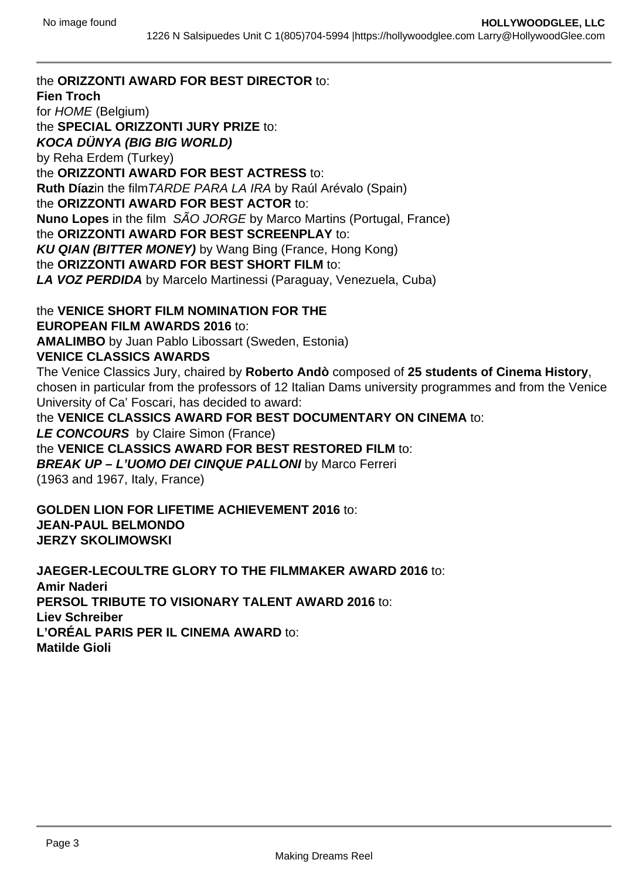the **ORIZZONTI AWARD FOR BEST DIRECTOR** to: **Fien Troch** for HOME (Belgium) the **SPECIAL ORIZZONTI JURY PRIZE** to: **KOCA DÜNYA (BIG BIG WORLD)** by Reha Erdem (Turkey) the **ORIZZONTI AWARD FOR BEST ACTRESS** to: **Ruth Díaz**in the filmTARDE PARA LA IRA by Raúl Arévalo (Spain) the **ORIZZONTI AWARD FOR BEST ACTOR** to: **Nuno Lopes** in the film SÃO JORGE by Marco Martins (Portugal, France) the **ORIZZONTI AWARD FOR BEST SCREENPLAY** to: **KU QIAN (BITTER MONEY)** by Wang Bing (France, Hong Kong) the **ORIZZONTI AWARD FOR BEST SHORT FILM** to: **LA VOZ PERDIDA** by Marcelo Martinessi (Paraguay, Venezuela, Cuba) the **VENICE SHORT FILM NOMINATION FOR THE EUROPEAN FILM AWARDS 2016** to: **AMALIMBO** by Juan Pablo Libossart (Sweden, Estonia) **VENICE CLASSICS AWARDS** The Venice Classics Jury, chaired by **Roberto Andò** composed of **25 students of Cinema History**, chosen in particular from the professors of 12 Italian Dams university programmes and from the Venice University of Ca' Foscari, has decided to award:

the **VENICE CLASSICS AWARD FOR BEST DOCUMENTARY ON CINEMA** to: **LE CONCOURS** by Claire Simon (France) the **VENICE CLASSICS AWARD FOR BEST RESTORED FILM** to: **BREAK UP – L'UOMO DEI CINQUE PALLONI** by Marco Ferreri (1963 and 1967, Italy, France)

**GOLDEN LION FOR LIFETIME ACHIEVEMENT 2016** to: **JEAN-PAUL BELMONDO JERZY SKOLIMOWSKI**

**JAEGER-LECOULTRE GLORY TO THE FILMMAKER AWARD 2016** to: **Amir Naderi PERSOL TRIBUTE TO VISIONARY TALENT AWARD 2016** to: **Liev Schreiber L'ORÉAL PARIS PER IL CINEMA AWARD** to: **Matilde Gioli**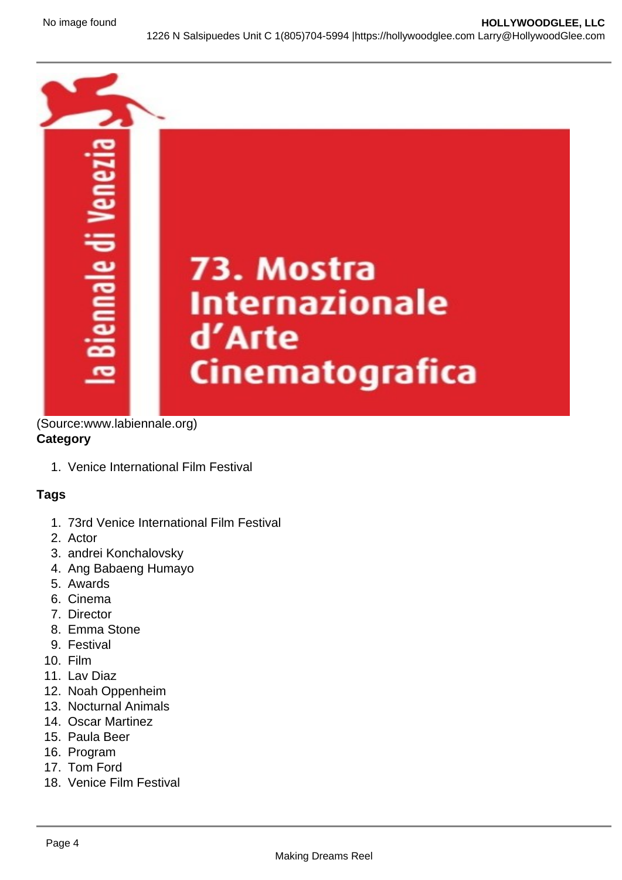

(Source:www.labiennale.org) **Category**

1. Venice International Film Festival

# **Tags**

- 1. 73rd Venice International Film Festival
- 2. Actor
- 3. andrei Konchalovsky
- 4. Ang Babaeng Humayo
- 5. Awards
- 6. Cinema
- 7. Director
- 8. Emma Stone
- 9. Festival
- 10. Film
- 11. Lav Diaz
- 12. Noah Oppenheim
- 13. Nocturnal Animals
- 14. Oscar Martinez
- 15. Paula Beer
- 16. Program
- 17. Tom Ford
- 18. Venice Film Festival